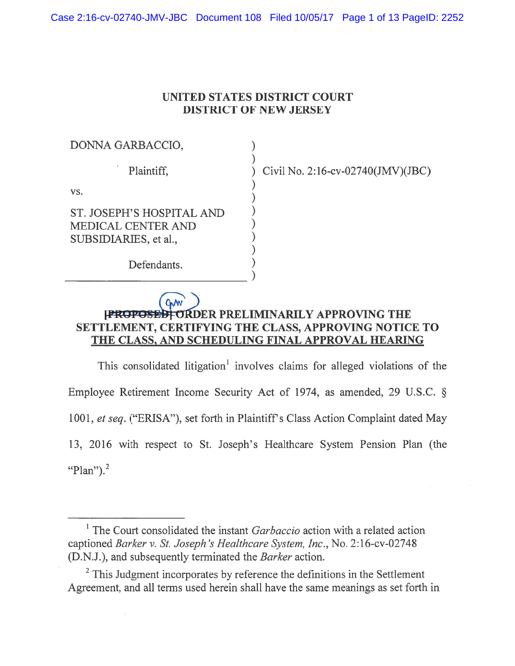Case 2:16-cv-02740-JMV-JBC Document 108 Filed 10/05/17 Page 1 of 13 PageID: 2252

## UNITED STATES DISTRICT COURT DISTRICT Of NEW JERSEY

| DONNA GARBACCIO,                                                         |  |
|--------------------------------------------------------------------------|--|
| Plaintiff,                                                               |  |
| VS.                                                                      |  |
| ST. JOSEPH'S HOSPITAL AND<br>MEDICAL CENTER AND<br>SUBSIDIARIES, et al., |  |
| Defendants.                                                              |  |

Civil No. 2:16-cv-02740(JMV)(JBC)

## CMW [PROPOSED] ORDER PRELIMINARILY APPROVING THE SETTLEMENT, CERTIFYING THE CLASS, APPROVING NOTICE TO THE CLASS, AND SCHEDULING FINAL APPROVAL HEARING

)

This consolidated litigation' involves claims for alleged violations of the Employee Retirement Income Security Act of 1974, as amended, <sup>29</sup> U.S.C. § 1001, et seq. ("ERISA"), set forth in Plaintiff's Class Action Complaint dated May 13, 2016 with respec<sup>t</sup> to St. Joseph's Healthcare System Pension Plan (the "Plan"). $<sup>2</sup>$ </sup>

<sup>&</sup>lt;sup>1</sup> The Court consolidated the instant *Garbaccio* action with a related action captioned Barker v. St. Joseph 's Heatthcare System, Inc., No. 2: 16-cv-02748 (D.N.J.), and subsequently terminated the Barker action.

 $2$ <sup>2</sup> This Judgment incorporates by reference the definitions in the Settlement Agreement, and all terms used herein shall have the same meanings as set forth in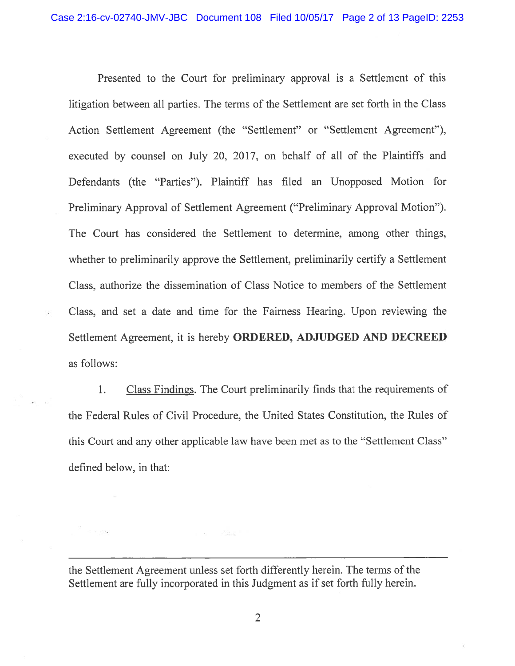Presented to the Court for preliminary approval is <sup>a</sup> Settlement of this litigation between all parties. The terms of the Settlement are set forth in the Class Action Settlement Agreement (the "Settlement" or "Settlement Agreement"), executed by counsel on July 20, 2017, on behalf of all of the Plaintiffs and Defendants (the "Parties"). Plaintiff has filed an Unopposed Motion for Preliminary Approval of Settlement Agreement ("Preliminary Approval Motion"). The Court has considered the Settlement to determine, among other things, whether to preliminarily approve the Settlement, preliminarily certify <sup>a</sup> Settlement Class, authorize the dissemination of Class Notice to members of the Settlement Class, and set <sup>a</sup> date and time for the Fairness Hearing. Upon reviewing the Settlement Agreement, it is hereby ORDERED, ADJUDGED AND DECREED as follows:

1. Class Findings. The Court preliminarily finds that the requirements of the Federal Rules of Civil Procedure, the United States Constitution, the Rules of this Court and any other applicable law have been met as to the "Settlement Class" defined below, in that:

the Settlement Agreement unless set forth differently herein. The terms of the Settlement are fully incorporated in this Judgment as if set forth fully herein.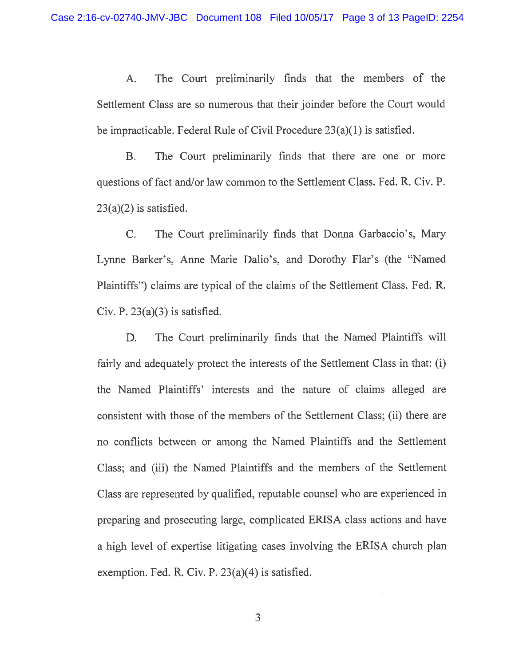A. The Court preliminarily finds that the members of the Settlement Class are so numerous that their joinder before the Court would be impracticable. Federal Rule of Civil Procedure 23(a)(1) is satisfied.

B. The Court preliminarily finds that there are one or more questions of fact and/or law common to the Settlement Class. Fed. R. Civ. P.  $23(a)(2)$  is satisfied.

C. The Court preliminarily finds that Donna Garbaccio's, Mary Lynne Barker's, Anne Marie Dalio's, and Dorothy Flar's (the "Named Plaintiffs") claims are typical of the claims of the Settlement Class. Fed. R. Civ. P.  $23(a)(3)$  is satisfied.

D. The Court preliminarily finds that the Named Plaintiffs will fairly and adequately protect the interests of the Settlement Class in that: (i) the Named Plaintiffs' interests and the nature of claims alleged are consistent with those of the members of the Settlement Class; (ii) there are no conflicts between or among the Named Plaintiffs and the Settlement Class; and (iii) the Named Plaintiffs and the members of the Settlement Class are represented by qualified, reputable counsel who are experienced in preparing and prosecuting large, complicated ERISA class actions and have <sup>a</sup> high level of expertise litigating cases involving the ERISA church plan exemption. Fed. R. Civ. P. 23(a)(4) is satisfied.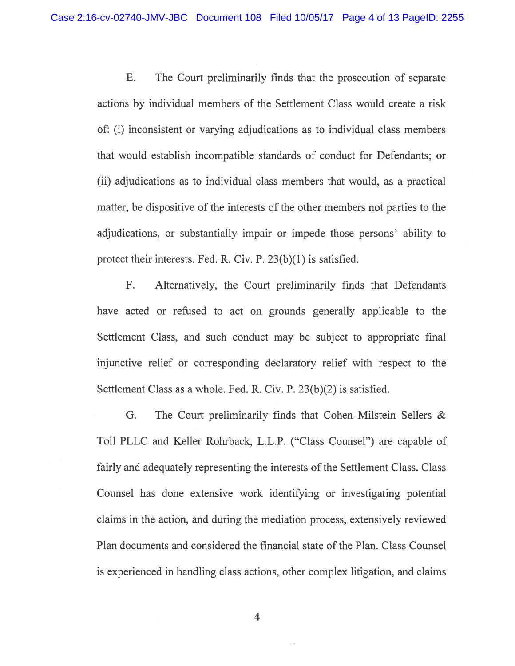E. The Court preliminarily finds that the prosecution of separate actions by individual members of the Settlement Class would create <sup>a</sup> risk of: (1) inconsistent or varying adjudications as to individual class members that would establish incompatible standards of conduct for Defendants; or (ii) adjudications as to individual class members that would, as <sup>a</sup> practical matter, be dispositive of the interests of the other members not parties to the adjudications, or substantially impair or impede those persons' ability to protect their interests. Fed. R. Civ. P. 23(b)(1) is satisfied.

F. Alternatively, the Court preliminarily finds that Defendants have acted or refused to act on grounds generally applicable to the Settlement Class, and such conduct may be subject to appropriate final injunctive relief or corresponding declaratory relief with respec<sup>t</sup> to the Settlement Class as <sup>a</sup> whole, fed. R. Civ. P. 23(b)(2) is satisfied.

G. The Court preliminarily finds that Cohen Milstein Sellers & Toll PLLC and Keller Rohrback, L.L.P. ("Class Counsel") are capable of fairly and adequately representing the interests of the Settlement Class. Class Counsel has done extensive work identifying or investigating potential claims in the action, and during the mediation process, extensively reviewed Plan documents and considered the financial state of the Plan. Class Counsel is experienced in handling class actions, other complex litigation, and claims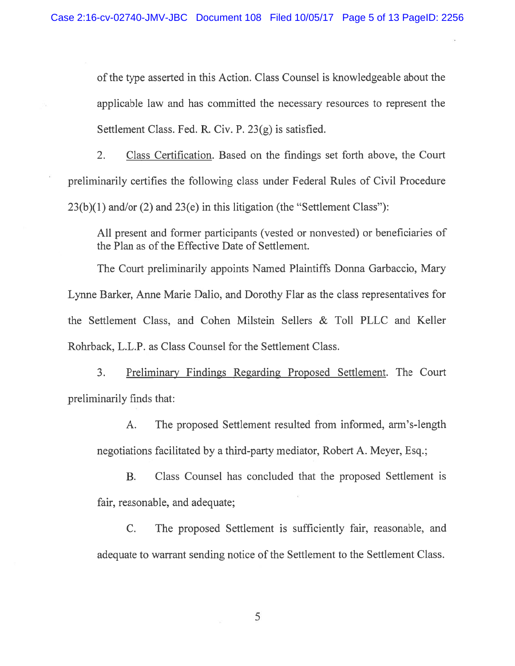ofthe type asserted in this Action. Class Counsel is knowledgeable about the applicable law and has committed the necessary resources to represen<sup>t</sup> the Settlement Class. Fed. R. Civ. P. 23(g) is satisfied.

2. Class Certification. Based on the findings set forth above, the Court preliminarily certifies the following class under Federal Rules of Civil Procedure  $23(b)(1)$  and/or (2) and  $23(e)$  in this litigation (the "Settlement Class"):

All presen<sup>t</sup> and former participants (vested or nonvested) or beneficiaries of the Plan as of the Effective Date of Settlement.

The Court preliminarily appoints Named Plaintiffs Donna Garbaccio, Mary Lynne Barker, Anne Marie Dalio, and Dorothy Flar as the class representatives for the Settlement Class, and Cohen Milstein Sellers & Toll PLLC and Keller Rohrback, L.L.P. as Class Counsel for the Settlement Class.

3. Preliminary Findings Regarding Proposed Settlement. The Court preliminarily finds that:

A. The proposed Settlement resulted from informed, arm's-length negotiations facilitated by <sup>a</sup> third-party mediator, Robert A. Meyer, Esq.;

B. Class Counsel has concluded that the proposed Settlement is fair, reasonable, and adequate;

C. The proposed Settlement is sufficiently fair, reasonable, and adequate to warrant sending notice of the Settlement to the Settlement Class.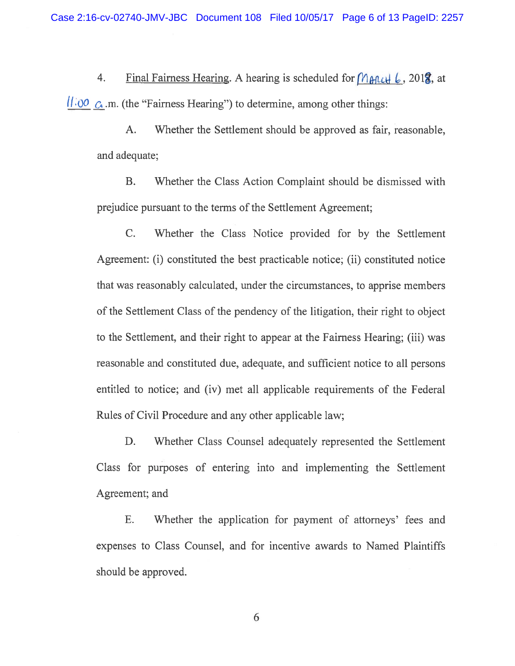4. Final Fairness Hearing. A hearing is scheduled for  $M_{\theta}$   $\theta$ , 201<sup>2</sup>/<sub>8</sub>, at  $11.00\,$  G .m. (the "Fairness Hearing") to determine, among other things:

A. Whether the Settlement should be approved as fair, reasonable, and adequate;

B. Whether the Class Action Complaint should be dismissed with prejudice pursuan<sup>t</sup> to the terms of the Settlement Agreement;

C. Whether the Class Notice provided for by the Settlement Agreement: (i) constituted the best practicable notice; (ii) constituted notice that was reasonably calculated, under the circumstances, to apprise members of the Settlement Class of the pendency of the litigation, their right to object to the Settlement, and their right to appear at the Fairness Hearing; (iii) was reasonable and constituted due, adequate, and sufficient notice to all persons entitled to notice; and (iv) met all applicable requirements of the Federal Rules of Civil Procedure and any other applicable law;

D. Whether Class Counsel adequately represented the Settlement Class for purposes of entering into and implementing the Settlement Agreement; and

E. Whether the application for paymen<sup>t</sup> of attorneys' fees and expenses to Class Counsel, and for incentive awards to Named Plaintiffs should be approved.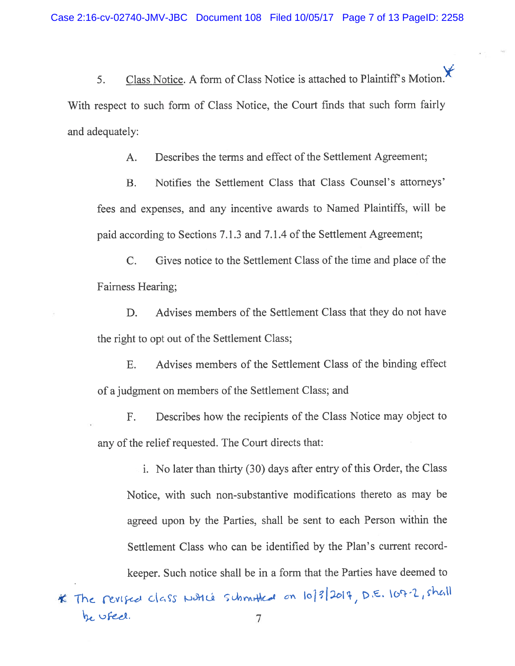5. Class Notice. A form of Class Notice is attached to Plaintiff's Motion. With respec<sup>t</sup> to such form of Class Notice, the Court finds that such form fairly and adequately:

A. Describes the terms and effect of the Settlement Agreement;

B. Notifies the Settlement Class that Class Counsel's attorneys' fees and expenses, and any incentive awards to Named Plaintiffs, will be paid according to Sections 7.1.3 and 7.1.4 of the Settlement Agreement;

C. Gives notice to the Settlement Class of the time and place of the Fairness Hearing;

D. Advises members of the Settlement Class that they do not have the right to op<sup>t</sup> out of the Settlement Class;

E. Advises members of the Settlement Class of the binding effect of <sup>a</sup> judgment on members of the Settlement Class; and

F. Describes how the recipients of the Class Notice may object to any of the relief requested. The Court directs that:

i. No later than thirty (30) days after entry of this Order, the Class Notice, with such non-substantive modifications thereto as may be agree<sup>d</sup> upon by the Parties, shall be sent to each Person within the Settlement Class who can be identified by the Plan's current record keeper. Such notice shall be in <sup>a</sup> form that the Parties have deemed to

\* The revised class woth is submothed on 10/3/2017, D.E. 107-2, shall he used. 7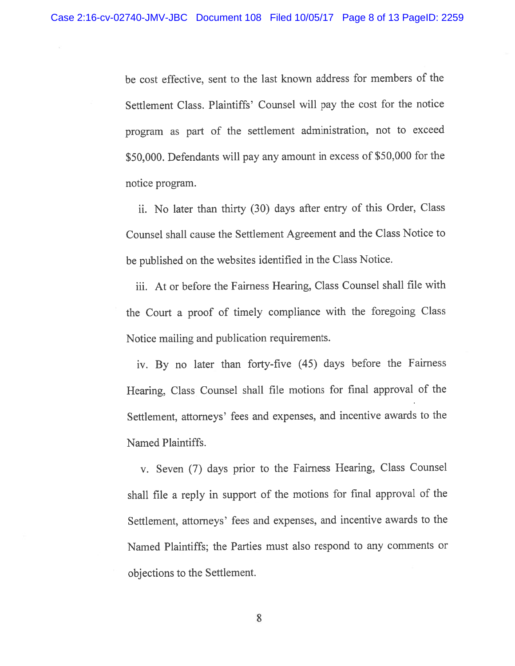be cost effective, sent to the last known address for members of the Settlement Class. Plaintiffs' Counsel will pay the cost for the notice program as par<sup>t</sup> of the settlement administration, not to exceed \$50,000. Defendants will pay any amount in excess of \$50,000 for the notice program.

ii. No later than thirty (30) days after entry of this Order, Class Counsel shall cause the Settlement Agreement and the Class Notice to be published on the websites identified in the Class Notice.

iii. At or before the Fairness Hearing, Class Counsel shall file with the Court <sup>a</sup> proo<sup>f</sup> of timely compliance with the foregoing Class Notice mailing and publication requirements.

iv. By no later than forty-five (45) days before the Fairness Hearing, Class Counsel shall file motions for final approva<sup>l</sup> of the Settlement, attorneys' fees and expenses, and incentive awards to the Named Plaintiffs.

v. Seven (7) days prior to the fairness Hearing, Class Counsel shall file <sup>a</sup> reply in suppor<sup>t</sup> of the motions for final approva<sup>l</sup> of the Settlement, attorneys' fees and expenses, and incentive awards to the Named Plaintiffs; the Parties must also respond to any comments or objections to the Settlement.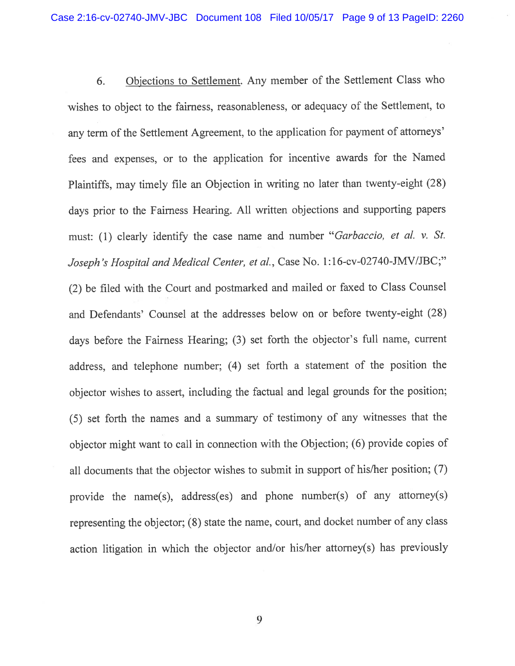6. Objections to Settlement. Any member of the Settlement Class who wishes to object to the fairness, reasonableness, or adequacy of the Settlement, to any term of the Settlement Agreement, to the application for paymen<sup>t</sup> of attorneys' fees and expenses, or to the application for incentive awards for the Named Plaintiffs, may timely file an Objection in writing no later than twenty-eight (28) days prior to the fairness Hearing. All written objections and supporting papers must: (1) clearly identify the case name and number "Garbaccio, et al. v. St. Joseph's Hospital and Medical Center, et al., Case No. 1:16-cv-02740-JMV/JBC;" (2) be filed with the Court and postmarked and mailed or faxed to Class Counsel and Defendants' Counsel at the addresses below on or before twenty-eight (22) days before the Fairness Hearing; (3) set forth the objector's full name, current address, and telephone number; (4) set forth <sup>a</sup> statement of the position the objector wishes to assert, including the factual and legal grounds for the position; (5) set forth the names and <sup>a</sup> summary of testimony of any witnesses that the objector might want to call in connection with the Objection; (6) provide copies of all documents that the objector wishes to submit in suppor<sup>t</sup> of his/her position; (7) provide the name(s), address(es) and <sup>p</sup>hone number(s) of any attorney(s) representing the objector; (8) state the name, court, and docket number of any class action litigation in which the objector and/or his/her attorney(s) has previously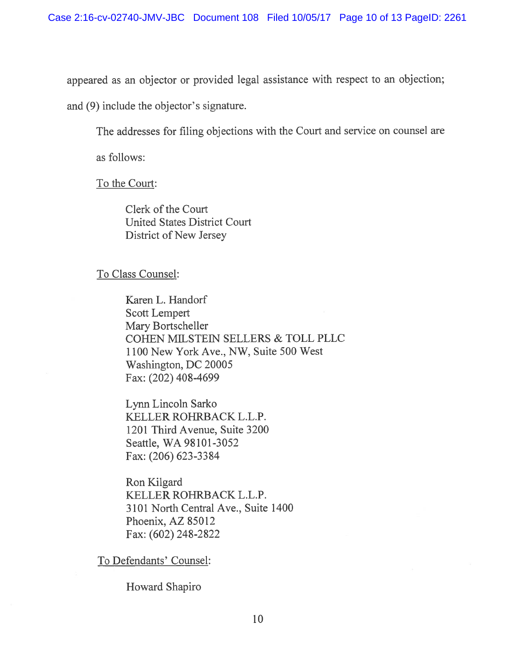appeared as an objector or provided legal assistance with respec<sup>t</sup> to an objection;

and (9) include the objector's signature.

The addresses for filing objections with the Court and service on counsel are

as follows:

To the Court:

Clerk of the Court United States District Court District of New Jersey

## To Class Counsel:

Karen L. Handorf Scott Lempert Mary Bortscheller COHEN MILSTEIN SELLERS & TOLL PLLC 1100 New York Ave., NW, Suite 500 West Washington, DC 20005 Fax: (202) 408-4699

Lynn Lincoln Sarko KELLER ROHRBACK L.L.P. 1201 Third Avenue, Suite 3200 Seattle, WA 98101-3052 Fax: (206) 623-3384

Ron Kilgard KELLER ROHRBACK L.LP. 3101 North Central Ave., Suite 1400 Phoenix, AZ 85012 Fax: (602) 248-2822

To Defendants' Counsel:

Howard Shapiro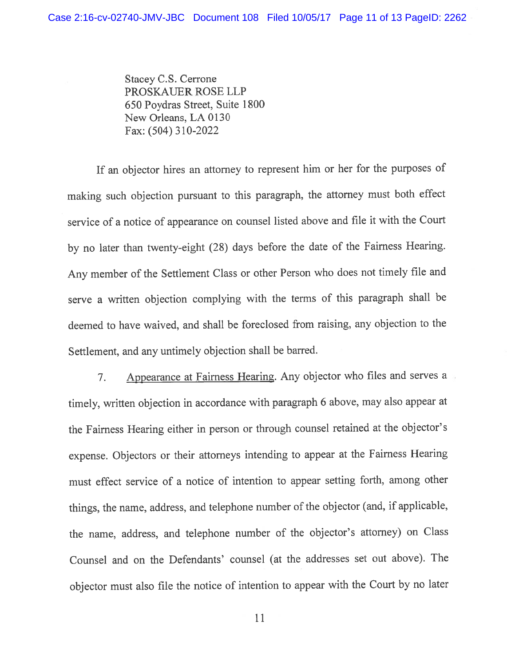Stacey C.S. Cerrone PROSKAUER ROSE LLP 650 Poydras Street, Suite 1800 New Orleans, LA 0130 Fax: (504) 310-2022

If an objector hires an attorney to represen<sup>t</sup> him or her for the purposes of making such objection pursuan<sup>t</sup> to this paragraph, the attorney must both effect service of <sup>a</sup> notice of appearance on counsel listed above and file it with the Court by no later than twenty-eight (28) days before the date of the fairness Hearing. Any member of the Settlement Class or other Person who does not timely file and serve <sup>a</sup> written objection complying with the terms of this paragrap<sup>h</sup> shall be deemed to have waived, and shall be foreclosed from raising, any objection to the Settlement, and any untimely objection shall be barred.

7. Appearance at fairness Hearing. Any objector who files and serves <sup>a</sup> timely, written objection in accordance with paragrap<sup>h</sup> <sup>6</sup> above, may also appear at the Fairness Hearing either in person or through counsel retained at the objector's expense. Objectors or their attorneys intending to appear at the Fairness Hearing must effect service of <sup>a</sup> notice of intention to appear setting forth, among other things, the name, address, and telephone number of the objector (and, if applicable, the name, address, and telephone number of the objector's attorney) on Class Counsel and on the Defendants' counsel (at the addresses set out above). The objector must also file the notice of intention to appear with the Court by no later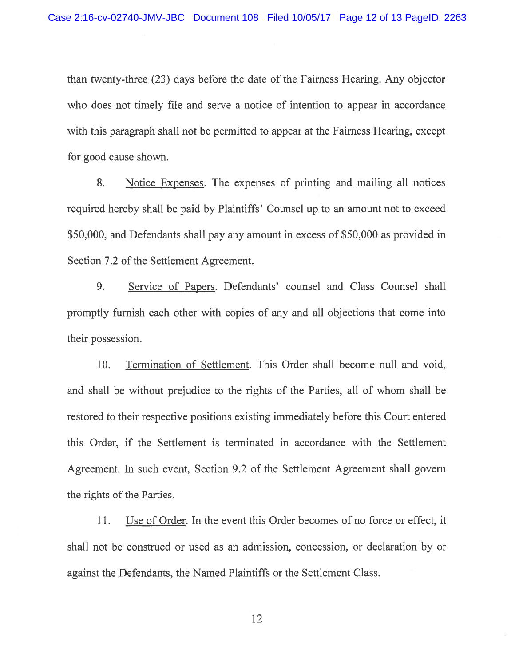than twenty-three (23) days before the date of the Fairness Hearing. Any objector who does not timely file and serve <sup>a</sup> notice of intention to appear in accordance with this paragraph shall not be permitted to appear at the Fairness Hearing, excep<sup>t</sup> for good cause shown.

8. Notice Expenses. The expenses of printing and mailing all notices required hereby shall be paid by Plaintiffs' Counsel up to an amount not to exceed \$50,000, and Defendants shall pay any amount in excess of \$50,000 as provided in Section 7.2 of the Settlement Agreement.

9. Service of Papers. Defendants' counsel and Class Counsel shall promptly furnish each other with copies of any and all objections that come into their possession.

10. Termination of Settlement. This Order shall become null and void, and shall be without prejudice to the rights of the Parties, all of whom shall be restored to their respective positions existing immediately before this Court entered this Order, if the Settlement is terminated in accordance with the Settlement Agreement. In such event, Section 9.2 of the Settlement Agreement shall govern the rights of the Parties.

11. Use of Order. In the event this Order becomes of no force or effect, it shall not be construed or used as an admission, concession, or declaration by or against the Defendants, the Named Plaintiffs or the Settlement Class.